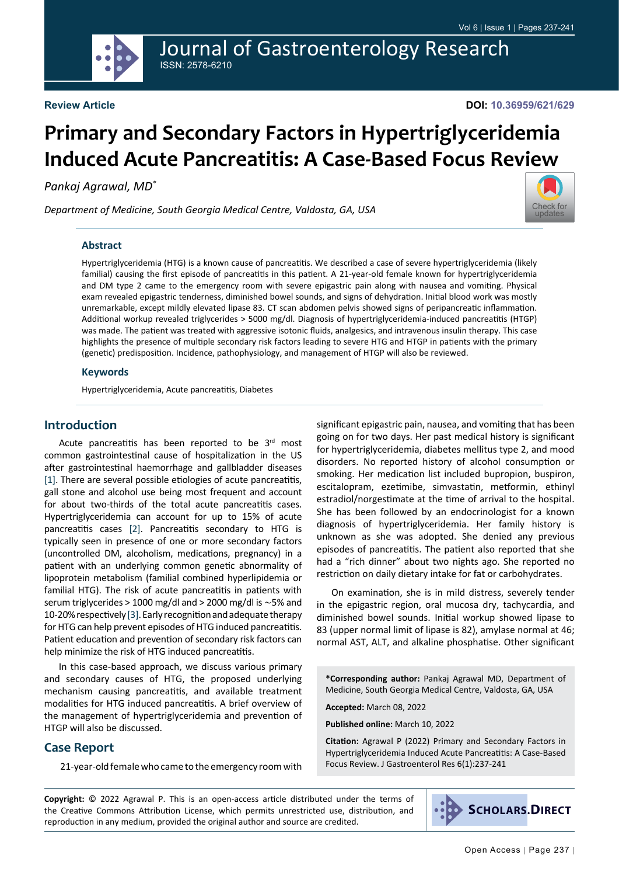Journal of Gastroenterology Research ISSN: 2578-6210

# **Primary and Secondary Factors in Hypertriglyceridemia Induced Acute Pancreatitis: A Case-Based Focus Review**

*Pankaj Agrawal, MD\**

*Department of Medicine, South Georgia Medical Centre, Valdosta, GA, USA*



#### **Abstract**

Hypertriglyceridemia (HTG) is a known cause of pancreatitis. We described a case of severe hypertriglyceridemia (likely familial) causing the first episode of pancreatitis in this patient. A 21-year-old female known for hypertriglyceridemia and DM type 2 came to the emergency room with severe epigastric pain along with nausea and vomiting. Physical exam revealed epigastric tenderness, diminished bowel sounds, and signs of dehydration. Initial blood work was mostly unremarkable, except mildly elevated lipase 83. CT scan abdomen pelvis showed signs of peripancreatic inflammation. Additional workup revealed triglycerides > 5000 mg/dl. Diagnosis of hypertriglyceridemia-induced pancreatitis (HTGP) was made. The patient was treated with aggressive isotonic fluids, analgesics, and intravenous insulin therapy. This case highlights the presence of multiple secondary risk factors leading to severe HTG and HTGP in patients with the primary (genetic) predisposition. Incidence, pathophysiology, and management of HTGP will also be reviewed.

#### **Keywords**

Hypertriglyceridemia, Acute pancreatitis, Diabetes

#### **Introduction**

Acute pancreatitis has been reported to be  $3<sup>rd</sup>$  most common gastrointestinal cause of hospitalization in the US after gastrointestinal haemorrhage and gallbladder diseases [\[1](#page-3-0)]. There are several possible etiologies of acute pancreatitis, gall stone and alcohol use being most frequent and account for about two-thirds of the total acute pancreatitis cases. Hypertriglyceridemia can account for up to 15% of acute pancreatitis cases [\[2](#page-3-1)]. Pancreatitis secondary to HTG is typically seen in presence of one or more secondary factors (uncontrolled DM, alcoholism, medications, pregnancy) in a patient with an underlying common genetic abnormality of lipoprotein metabolism (familial combined hyperlipidemia or familial HTG). The risk of acute pancreatitis in patients with serum triglycerides > 1000 mg/dl and > 2000 mg/dl is ∼5% and 10-20% respectively [\[3](#page-4-0)]. Early recognition and adequate therapy for HTG can help prevent episodes of HTG induced pancreatitis. Patient education and prevention of secondary risk factors can help minimize the risk of HTG induced pancreatitis.

In this case-based approach, we discuss various primary and secondary causes of HTG, the proposed underlying mechanism causing pancreatitis, and available treatment modalities for HTG induced pancreatitis. A brief overview of the management of hypertriglyceridemia and prevention of HTGP will also be discussed.

#### **Case Report**

21-year-old female who came to the emergency room with

significant epigastric pain, nausea, and vomiting that has been going on for two days. Her past medical history is significant for hypertriglyceridemia, diabetes mellitus type 2, and mood disorders. No reported history of alcohol consumption or smoking. Her medication list included bupropion, buspiron, escitalopram, ezetimibe, simvastatin, metformin, ethinyl estradiol/norgestimate at the time of arrival to the hospital. She has been followed by an endocrinologist for a known diagnosis of hypertriglyceridemia. Her family history is unknown as she was adopted. She denied any previous episodes of pancreatitis. The patient also reported that she had a "rich dinner" about two nights ago. She reported no restriction on daily dietary intake for fat or carbohydrates.

On examination, she is in mild distress, severely tender in the epigastric region, oral mucosa dry, tachycardia, and diminished bowel sounds. Initial workup showed lipase to 83 (upper normal limit of lipase is 82), amylase normal at 46; normal AST, ALT, and alkaline phosphatise. Other significant

**\*Corresponding author:** Pankaj Agrawal MD, Department of Medicine, South Georgia Medical Centre, Valdosta, GA, USA

**Accepted:** March 08, 2022

**Published online:** March 10, 2022

**Citation:** Agrawal P (2022) Primary and Secondary Factors in Hypertriglyceridemia Induced Acute Pancreatitis: A Case-Based Focus Review. J Gastroenterol Res 6(1):237-241

**Copyright:** © 2022 Agrawal P. This is an open-access article distributed under the terms of the Creative Commons Attribution License, which permits unrestricted use, distribution, and reproduction in any medium, provided the original author and source are credited.

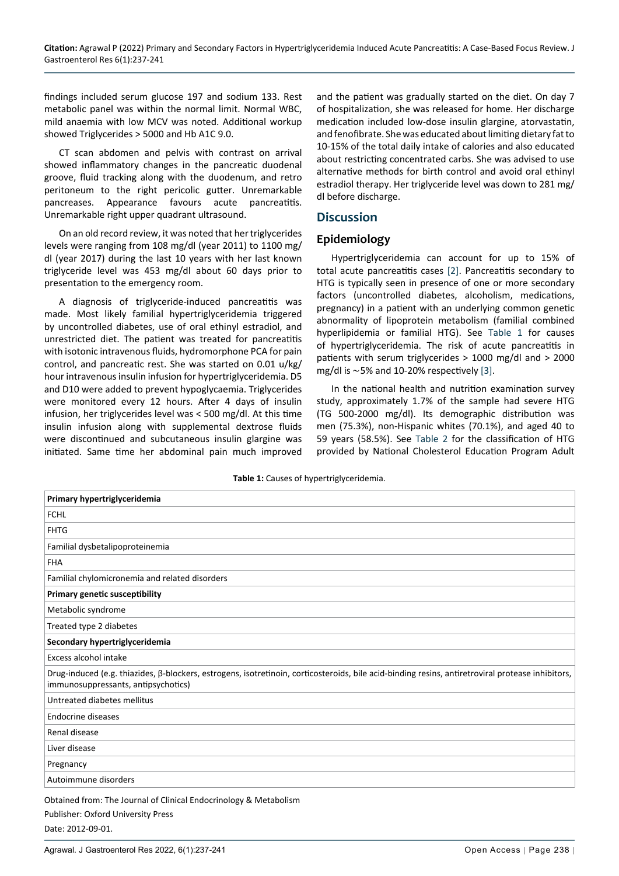findings included serum glucose 197 and sodium 133. Rest metabolic panel was within the normal limit. Normal WBC, mild anaemia with low MCV was noted. Additional workup showed Triglycerides > 5000 and Hb A1C 9.0.

CT scan abdomen and pelvis with contrast on arrival showed inflammatory changes in the pancreatic duodenal groove, fluid tracking along with the duodenum, and retro peritoneum to the right pericolic gutter. Unremarkable pancreases. Appearance favours acute pancreatitis. Unremarkable right upper quadrant ultrasound.

On an old record review, it was noted that her triglycerides levels were ranging from 108 mg/dl (year 2011) to 1100 mg/ dl (year 2017) during the last 10 years with her last known triglyceride level was 453 mg/dl about 60 days prior to presentation to the emergency room.

A diagnosis of triglyceride-induced pancreatitis was made. Most likely familial hypertriglyceridemia triggered by uncontrolled diabetes, use of oral ethinyl estradiol, and unrestricted diet. The patient was treated for pancreatitis with isotonic intravenous fluids, hydromorphone PCA for pain control, and pancreatic rest. She was started on 0.01 u/kg/ hour intravenous insulin infusion for hypertriglyceridemia. D5 and D10 were added to prevent hypoglycaemia. Triglycerides were monitored every 12 hours. After 4 days of insulin infusion, her triglycerides level was < 500 mg/dl. At this time insulin infusion along with supplemental dextrose fluids were discontinued and subcutaneous insulin glargine was initiated. Same time her abdominal pain much improved

and the patient was gradually started on the diet. On day 7 of hospitalization, she was released for home. Her discharge medication included low-dose insulin glargine, atorvastatin, and fenofibrate. She was educated about limiting dietary fat to 10-15% of the total daily intake of calories and also educated about restricting concentrated carbs. She was advised to use alternative methods for birth control and avoid oral ethinyl estradiol therapy. Her triglyceride level was down to 281 mg/ dl before discharge.

#### **Discussion**

#### **Epidemiology**

Hypertriglyceridemia can account for up to 15% of total acute pancreatitis cases [\[2](#page-3-1)]. Pancreatitis secondary to HTG is typically seen in presence of one or more secondary factors (uncontrolled diabetes, alcoholism, medications, pregnancy) in a patient with an underlying common genetic abnormality of lipoprotein metabolism (familial combined hyperlipidemia or familial HTG). See [Table 1](#page-1-0) for causes of hypertriglyceridemia. The risk of acute pancreatitis in patients with serum triglycerides > 1000 mg/dl and > 2000 mg/dl is ∼5% and 10-20% respectively [[3\]](#page-4-0).

In the national health and nutrition examination survey study, approximately 1.7% of the sample had severe HTG (TG 500-2000 mg/dl). Its demographic distribution was men (75.3%), non-Hispanic whites (70.1%), and aged 40 to 59 years (58.5%). See [Table 2](#page-2-0) for the classification of HTG provided by National Cholesterol Education Program Adult

<span id="page-1-0"></span>

| Primary hypertriglyceridemia                                                                                                                                                             |
|------------------------------------------------------------------------------------------------------------------------------------------------------------------------------------------|
| <b>FCHL</b>                                                                                                                                                                              |
| <b>FHTG</b>                                                                                                                                                                              |
| Familial dysbetalipoproteinemia                                                                                                                                                          |
| <b>FHA</b>                                                                                                                                                                               |
| Familial chylomicronemia and related disorders                                                                                                                                           |
| <b>Primary genetic susceptibility</b>                                                                                                                                                    |
| Metabolic syndrome                                                                                                                                                                       |
| Treated type 2 diabetes                                                                                                                                                                  |
| Secondary hypertriglyceridemia                                                                                                                                                           |
| Excess alcohol intake                                                                                                                                                                    |
| Drug-induced (e.g. thiazides, β-blockers, estrogens, isotretinoin, corticosteroids, bile acid-binding resins, antiretroviral protease inhibitors,<br>immunosuppressants, antipsychotics) |
| Untreated diabetes mellitus                                                                                                                                                              |
| <b>Endocrine diseases</b>                                                                                                                                                                |
| Renal disease                                                                                                                                                                            |
| Liver disease                                                                                                                                                                            |
| Pregnancy                                                                                                                                                                                |
| Autoimmune disorders                                                                                                                                                                     |
| Obtained from: The Journal of Clinical Endocripology & Metabolism                                                                                                                        |

ined from: The Journal of Clinical Endocrinol Publisher: Oxford University Press Date: 2012-09-01.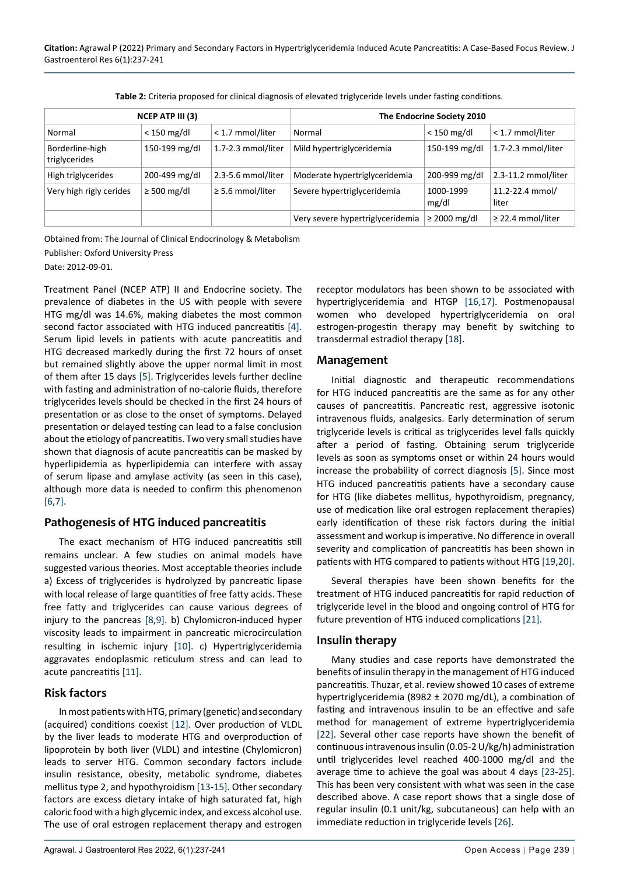| NCEP ATP III (3)                 |                  |                       | The Endocrine Society 2010       |                    |                          |
|----------------------------------|------------------|-----------------------|----------------------------------|--------------------|--------------------------|
| Normal                           | $<$ 150 mg/dl    | < 1.7 mmol/liter      | Normal                           | $<$ 150 mg/dl      | < 1.7 mmol/liter         |
| Borderline-high<br>triglycerides | 150-199 mg/dl    | 1.7-2.3 mmol/liter    | Mild hypertriglyceridemia        | 150-199 mg/dl      | 1.7-2.3 mmol/liter       |
| High triglycerides               | 200-499 mg/dl    | 2.3-5.6 mmol/liter    | Moderate hypertriglyceridemia    | 200-999 mg/dl      | 2.3-11.2 mmol/liter      |
| Very high rigly cerides          | $\geq$ 500 mg/dl | $\geq$ 5.6 mmol/liter | Severe hypertriglyceridemia      | 1000-1999<br>mg/dl | 11.2-22.4 mmol/<br>liter |
|                                  |                  |                       | Very severe hypertriglyceridemia | $\geq$ 2000 mg/dl  | $\geq$ 22.4 mmol/liter   |

<span id="page-2-0"></span>**Table 2:** Criteria proposed for clinical diagnosis of elevated triglyceride levels under fasting conditions.

Obtained from: The Journal of Clinical Endocrinology & Metabolism Publisher: Oxford University Press Date: 2012-09-01.

Treatment Panel (NCEP ATP) II and Endocrine society. The prevalence of diabetes in the US with people with severe HTG mg/dl was 14.6%, making diabetes the most common second factor associated with HTG induced pancreatitis [[4\]](#page-4-12). Serum lipid levels in patients with acute pancreatitis and HTG decreased markedly during the first 72 hours of onset but remained slightly above the upper normal limit in most of them after 15 days [[5\]](#page-4-4). Triglycerides levels further decline with fasting and administration of no-calorie fluids, therefore triglycerides levels should be checked in the first 24 hours of presentation or as close to the onset of symptoms. Delayed presentation or delayed testing can lead to a false conclusion about the etiology of pancreatitis. Two very small studies have shown that diagnosis of acute pancreatitis can be masked by hyperlipidemia as hyperlipidemia can interfere with assay of serum lipase and amylase activity (as seen in this case), although more data is needed to confirm this phenomenon [[6,](#page-4-13)[7](#page-4-14)].

#### **Pathogenesis of HTG induced pancreatitis**

The exact mechanism of HTG induced pancreatitis still remains unclear. A few studies on animal models have suggested various theories. Most acceptable theories include a) Excess of triglycerides is hydrolyzed by pancreatic lipase with local release of large quantities of free fatty acids. These free fatty and triglycerides can cause various degrees of injury to the pancreas [[8,](#page-4-15)[9](#page-4-16)]. b) Chylomicron-induced hyper viscosity leads to impairment in pancreatic microcirculation resulting in ischemic injury [\[10\]](#page-4-17). c) Hypertriglyceridemia aggravates endoplasmic reticulum stress and can lead to acute pancreatitis [[11\]](#page-4-18).

#### **Risk factors**

In most patients with HTG, primary (genetic) and secondary (acquired) conditions coexist [\[12](#page-4-19)]. Over production of VLDL by the liver leads to moderate HTG and overproduction of lipoprotein by both liver (VLDL) and intestine (Chylomicron) leads to server HTG. Common secondary factors include insulin resistance, obesity, metabolic syndrome, diabetes mellitus type 2, and hypothyroidism [\[13](#page-4-20)-[15\]](#page-4-21). Other secondary factors are excess dietary intake of high saturated fat, high caloric food with a high glycemic index, and excess alcohol use. The use of oral estrogen replacement therapy and estrogen

Agrawal. J Gastroenterol Res 2022, 6(1):237-241 Open Access | Page 239 |

receptor modulators has been shown to be associated with hypertriglyceridemia and HTGP [\[16](#page-4-1),[17\]](#page-4-2). Postmenopausal women who developed hypertriglyceridemia on oral estrogen-progestin therapy may benefit by switching to transdermal estradiol therapy [\[18\]](#page-4-3).

#### **Management**

Initial diagnostic and therapeutic recommendations for HTG induced pancreatitis are the same as for any other causes of pancreatitis. Pancreatic rest, aggressive isotonic intravenous fluids, analgesics. Early determination of serum triglyceride levels is critical as triglycerides level falls quickly after a period of fasting. Obtaining serum triglyceride levels as soon as symptoms onset or within 24 hours would increase the probability of correct diagnosis [[5\]](#page-4-4). Since most HTG induced pancreatitis patients have a secondary cause for HTG (like diabetes mellitus, hypothyroidism, pregnancy, use of medication like oral estrogen replacement therapies) early identification of these risk factors during the initial assessment and workup is imperative. No difference in overall severity and complication of pancreatitis has been shown in patients with HTG compared to patients without HTG [\[19,](#page-4-5)[20](#page-4-6)].

Several therapies have been shown benefits for the treatment of HTG induced pancreatitis for rapid reduction of triglyceride level in the blood and ongoing control of HTG for future prevention of HTG induced complications [[21](#page-4-7)].

#### **Insulin therapy**

Many studies and case reports have demonstrated the benefits of insulin therapy in the management of HTG induced pancreatitis. Thuzar, et al. review showed 10 cases of extreme hypertriglyceridemia (8982 ± 2070 mg/dL), a combination of fasting and intravenous insulin to be an effective and safe method for management of extreme hypertriglyceridemia [[22\]](#page-4-8). Several other case reports have shown the benefit of continuous intravenous insulin (0.05-2 U/kg/h) administration until triglycerides level reached 400-1000 mg/dl and the average time to achieve the goal was about 4 days [[23](#page-4-9)-[25](#page-4-10)]. This has been very consistent with what was seen in the case described above. A case report shows that a single dose of regular insulin (0.1 unit/kg, subcutaneous) can help with an immediate reduction in triglyceride levels [[26\]](#page-4-11).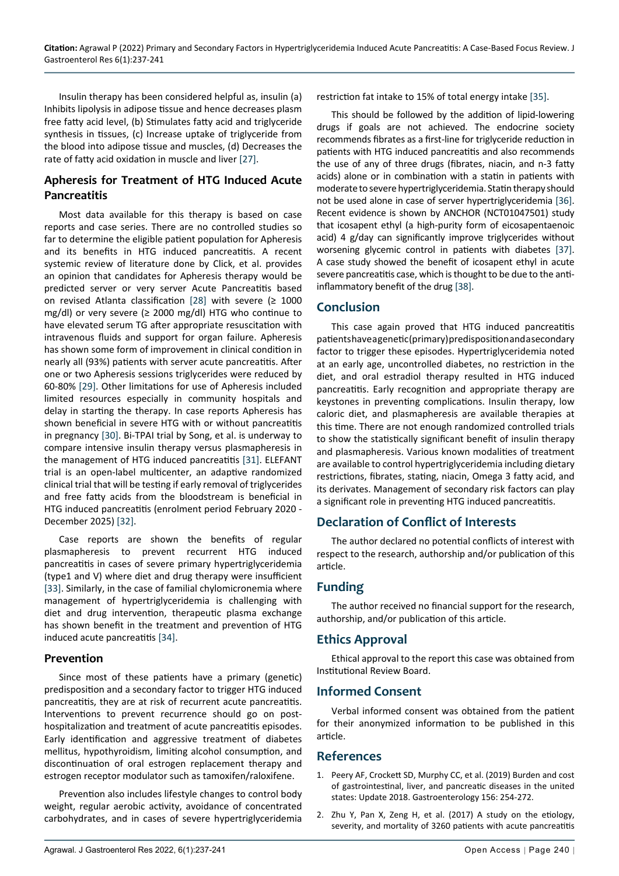Insulin therapy has been considered helpful as, insulin (a) Inhibits lipolysis in adipose tissue and hence decreases plasm free fatty acid level, (b) Stimulates fatty acid and triglyceride synthesis in tissues, (c) Increase uptake of triglyceride from the blood into adipose tissue and muscles, (d) Decreases the rate of fatty acid oxidation in muscle and liver [\[27](#page-4-26)].

## **Apheresis for Treatment of HTG Induced Acute Pancreatitis**

Most data available for this therapy is based on case reports and case series. There are no controlled studies so far to determine the eligible patient population for Apheresis and its benefits in HTG induced pancreatitis. A recent systemic review of literature done by Click, et al. provides an opinion that candidates for Apheresis therapy would be predicted server or very server Acute Pancreatitis based on revised Atlanta classification [[28\]](#page-4-27) with severe (≥ 1000 mg/dl) or very severe (≥ 2000 mg/dl) HTG who continue to have elevated serum TG after appropriate resuscitation with intravenous fluids and support for organ failure. Apheresis has shown some form of improvement in clinical condition in nearly all (93%) patients with server acute pancreatitis. After one or two Apheresis sessions triglycerides were reduced by 60-80% [[29](#page-4-28)]. Other limitations for use of Apheresis included limited resources especially in community hospitals and delay in starting the therapy. In case reports Apheresis has shown beneficial in severe HTG with or without pancreatitis in pregnancy [[30\]](#page-4-29). Bi-TPAI trial by Song, et al. is underway to compare intensive insulin therapy versus plasmapheresis in the management of HTG induced pancreatitis [\[31](#page-4-30)]. ELEFANT trial is an open-label multicenter, an adaptive randomized clinical trial that will be testing if early removal of triglycerides and free fatty acids from the bloodstream is beneficial in HTG induced pancreatitis (enrolment period February 2020 - December 2025) [\[32\]](#page-4-31).

Case reports are shown the benefits of regular plasmapheresis to prevent recurrent HTG induced pancreatitis in cases of severe primary hypertriglyceridemia (type1 and V) where diet and drug therapy were insufficient [[33\]](#page-4-32). Similarly, in the case of familial chylomicronemia where management of hypertriglyceridemia is challenging with diet and drug intervention, therapeutic plasma exchange has shown benefit in the treatment and prevention of HTG induced acute pancreatitis [\[34](#page-4-33)].

#### **Prevention**

Since most of these patients have a primary (genetic) predisposition and a secondary factor to trigger HTG induced pancreatitis, they are at risk of recurrent acute pancreatitis. Interventions to prevent recurrence should go on posthospitalization and treatment of acute pancreatitis episodes. Early identification and aggressive treatment of diabetes mellitus, hypothyroidism, limiting alcohol consumption, and discontinuation of oral estrogen replacement therapy and estrogen receptor modulator such as tamoxifen/raloxifene.

Prevention also includes lifestyle changes to control body weight, regular aerobic activity, avoidance of concentrated carbohydrates, and in cases of severe hypertriglyceridemia restriction fat intake to 15% of total energy intake [[35\]](#page-4-22).

This should be followed by the addition of lipid-lowering drugs if goals are not achieved. The endocrine society recommends fibrates as a first-line for triglyceride reduction in patients with HTG induced pancreatitis and also recommends the use of any of three drugs (fibrates, niacin, and n-3 fatty acids) alone or in combination with a statin in patients with moderate to severe hypertriglyceridemia. Statin therapy should not be used alone in case of server hypertriglyceridemia [\[36](#page-4-23)]. Recent evidence is shown by ANCHOR (NCT01047501) study that icosapent ethyl (a high-purity form of eicosapentaenoic acid) 4 g/day can significantly improve triglycerides without worsening glycemic control in patients with diabetes [\[37](#page-4-24)]. A case study showed the benefit of icosapent ethyl in acute severe pancreatitis case, which is thought to be due to the antiinflammatory benefit of the drug [[38\]](#page-4-25).

### **Conclusion**

This case again proved that HTG induced pancreatitis patients have a genetic (primary) predisposition and a secondary factor to trigger these episodes. Hypertriglyceridemia noted at an early age, uncontrolled diabetes, no restriction in the diet, and oral estradiol therapy resulted in HTG induced pancreatitis. Early recognition and appropriate therapy are keystones in preventing complications. Insulin therapy, low caloric diet, and plasmapheresis are available therapies at this time. There are not enough randomized controlled trials to show the statistically significant benefit of insulin therapy and plasmapheresis. Various known modalities of treatment are available to control hypertriglyceridemia including dietary restrictions, fibrates, stating, niacin, Omega 3 fatty acid, and its derivates. Management of secondary risk factors can play a significant role in preventing HTG induced pancreatitis.

# **Declaration of Conflict of Interests**

The author declared no potential conflicts of interest with respect to the research, authorship and/or publication of this article.

#### **Funding**

The author received no financial support for the research, authorship, and/or publication of this article.

#### **Ethics Approval**

Ethical approval to the report this case was obtained from Institutional Review Board.

#### **Informed Consent**

Verbal informed consent was obtained from the patient for their anonymized information to be published in this article.

#### **References**

- <span id="page-3-0"></span>1. [Peery AF, Crockett SD, Murphy CC, et al. \(2019\) Burden and cost](https://pubmed.ncbi.nlm.nih.gov/30315778/)  [of gastrointestinal, liver, and pancreatic diseases in the united](https://pubmed.ncbi.nlm.nih.gov/30315778/)  [states: Update 2018. Gastroenterology 156: 254-272.](https://pubmed.ncbi.nlm.nih.gov/30315778/)
- <span id="page-3-1"></span>2. Zhu Y, Pan X, Zeng H, et al. (2017) A study on the etiology, severity, and mortality of 3260 patients with acute pancreatitis